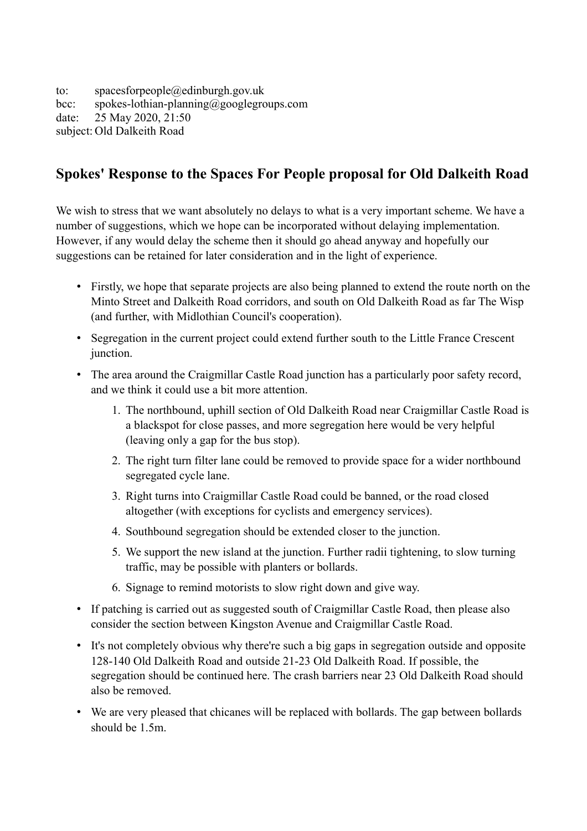to: spacesforpeople@edinburgh.gov.uk bcc: spokes-lothian-planning@googlegroups.com date: 25 May 2020, 21:50 subject: Old Dalkeith Road

## **Spokes' Response to the Spaces For People proposal for Old Dalkeith Road**

We wish to stress that we want absolutely no delays to what is a very important scheme. We have a number of suggestions, which we hope can be incorporated without delaying implementation. However, if any would delay the scheme then it should go ahead anyway and hopefully our suggestions can be retained for later consideration and in the light of experience.

- Firstly, we hope that separate projects are also being planned to extend the route north on the Minto Street and Dalkeith Road corridors, and south on Old Dalkeith Road as far The Wisp (and further, with Midlothian Council's cooperation).
- Segregation in the current project could extend further south to the Little France Crescent junction.
- The area around the Craigmillar Castle Road junction has a particularly poor safety record, and we think it could use a bit more attention.
	- 1. The northbound, uphill section of Old Dalkeith Road near Craigmillar Castle Road is a blackspot for close passes, and more segregation here would be very helpful (leaving only a gap for the bus stop).
	- 2. The right turn filter lane could be removed to provide space for a wider northbound segregated cycle lane.
	- 3. Right turns into Craigmillar Castle Road could be banned, or the road closed altogether (with exceptions for cyclists and emergency services).
	- 4. Southbound segregation should be extended closer to the junction.
	- 5. We support the new island at the junction. Further radii tightening, to slow turning traffic, may be possible with planters or bollards.
	- 6. Signage to remind motorists to slow right down and give way.
- If patching is carried out as suggested south of Craigmillar Castle Road, then please also consider the section between Kingston Avenue and Craigmillar Castle Road.
- It's not completely obvious why there're such a big gaps in segregation outside and opposite 128-140 Old Dalkeith Road and outside 21-23 Old Dalkeith Road. If possible, the segregation should be continued here. The crash barriers near 23 Old Dalkeith Road should also be removed.
- We are very pleased that chicanes will be replaced with bollards. The gap between bollards should be 1.5m.